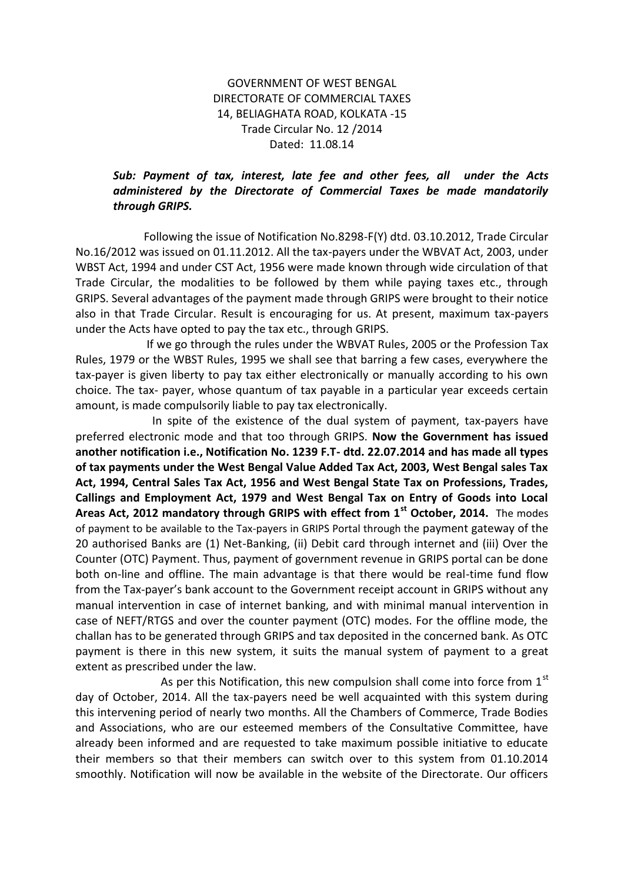## GOVERNMENT OF WEST BENGAL DIRECTORATE OF COMMERCIAL TAXES 14, BELIAGHATA ROAD, KOLKATA -15 Trade Circular No. 12 /2014 Dated: 11.08.14

## *Sub: Payment of tax, interest, late fee and other fees, all under the Acts administered by the Directorate of Commercial Taxes be made mandatorily through GRIPS.*

 Following the issue of Notification No.8298-F(Y) dtd. 03.10.2012, Trade Circular No.16/2012 was issued on 01.11.2012. All the tax-payers under the WBVAT Act, 2003, under WBST Act, 1994 and under CST Act, 1956 were made known through wide circulation of that Trade Circular, the modalities to be followed by them while paying taxes etc., through GRIPS. Several advantages of the payment made through GRIPS were brought to their notice also in that Trade Circular. Result is encouraging for us. At present, maximum tax-payers under the Acts have opted to pay the tax etc., through GRIPS.

 If we go through the rules under the WBVAT Rules, 2005 or the Profession Tax Rules, 1979 or the WBST Rules, 1995 we shall see that barring a few cases, everywhere the tax-payer is given liberty to pay tax either electronically or manually according to his own choice. The tax- payer, whose quantum of tax payable in a particular year exceeds certain amount, is made compulsorily liable to pay tax electronically.

 In spite of the existence of the dual system of payment, tax-payers have preferred electronic mode and that too through GRIPS. **Now the Government has issued another notification i.e., Notification No. 1239 F.T- dtd. 22.07.2014 and has made all types of tax payments under the West Bengal Value Added Tax Act, 2003, West Bengal sales Tax Act, 1994, Central Sales Tax Act, 1956 and West Bengal State Tax on Professions, Trades, Callings and Employment Act, 1979 and West Bengal Tax on Entry of Goods into Local Areas Act, 2012 mandatory through GRIPS with effect from 1st October, 2014.** The modes of payment to be available to the Tax-payers in GRIPS Portal through the payment gateway of the 20 authorised Banks are (1) Net-Banking, (ii) Debit card through internet and (iii) Over the Counter (OTC) Payment. Thus, payment of government revenue in GRIPS portal can be done both on-line and offline. The main advantage is that there would be real-time fund flow from the Tax-payer's bank account to the Government receipt account in GRIPS without any manual intervention in case of internet banking, and with minimal manual intervention in case of NEFT/RTGS and over the counter payment (OTC) modes. For the offline mode, the challan has to be generated through GRIPS and tax deposited in the concerned bank. As OTC payment is there in this new system, it suits the manual system of payment to a great extent as prescribed under the law.

As per this Notification, this new compulsion shall come into force from  $1<sup>st</sup>$ day of October, 2014. All the tax-payers need be well acquainted with this system during this intervening period of nearly two months. All the Chambers of Commerce, Trade Bodies and Associations, who are our esteemed members of the Consultative Committee, have already been informed and are requested to take maximum possible initiative to educate their members so that their members can switch over to this system from 01.10.2014 smoothly. Notification will now be available in the website of the Directorate. Our officers